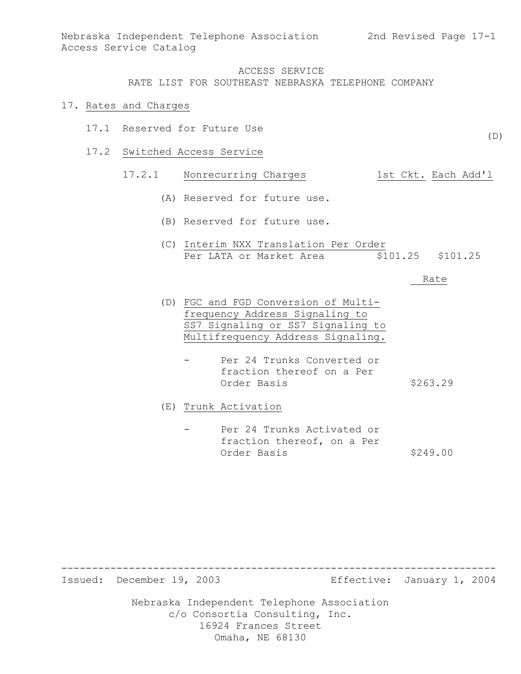#### 17. Rates and Charges

- 17.1 Reserved for Future Use
- 17.2 Switched Access Service

# 17.2.1 Nonrecurring Charges 1st Ckt. Each Add'l

- (A) Reserved for future use.
- (B) Reserved for future use.
- (C) Interim NXX Translation Per Order Per LATA or Market Area  $$101.25$  \$101.25

#### Rate

- (D) FGC and FGD Conversion of Multifrequency Address Signaling to SS7 Signaling or SS7 Signaling to Multifrequency Address Signaling.
	- Per 24 Trunks Converted or fraction thereof on a Per Order Basis \$263.29

(E) Trunk Activation

Per 24 Trunks Activated or fraction thereof, on a Per Order Basis \$249.00

Issued: December 19, 2003 Effective: January 1, 2004

Nebraska Independent Telephone Association c/o Consortia Consulting, Inc. 16924 Frances Street Omaha, NE 68130

-----------------------------------------------------------------------

(D)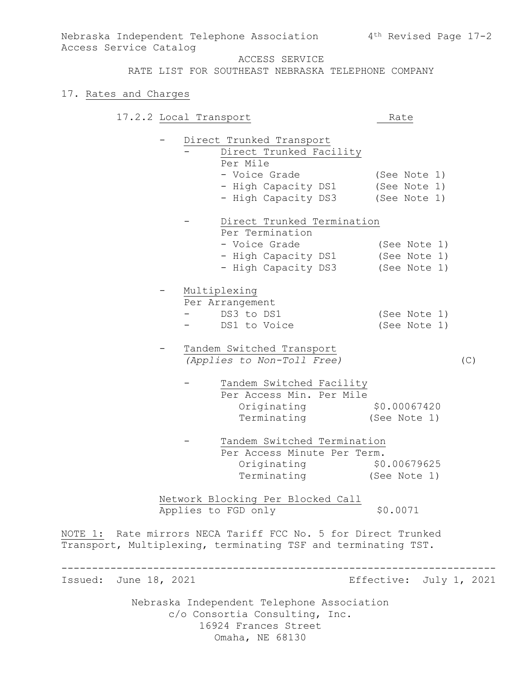ACCESS SERVICE

RATE LIST FOR SOUTHEAST NEBRASKA TELEPHONE COMPANY

#### 17. Rates and Charges

Access Service Catalog

17.2.2 Local Transport Rate

- Direct Trunked Transport Direct Trunked Facility Per Mile - Voice Grade (See Note 1) - High Capacity DS1 (See Note 1) - High Capacity DS3 (See Note 1) - Direct Trunked Termination Per Termination

| - Voice Grade       | (See Note 1) |
|---------------------|--------------|
| - High Capacity DS1 | (See Note 1) |
| - High Capacity DS3 | (See Note 1) |

- Multiplexing Per Arrangement - DS3 to DS1 (See Note 1) - DS1 to Voice (See Note 1)

- Tandem Switched Transport *(Applies to Non-Toll Free)* (C)
	- Tandem Switched Facility Per Access Min. Per Mile Originating \$0.00067420 Terminating (See Note 1)

Tandem Switched Termination Per Access Minute Per Term. Originating \$0.00679625 Terminating (See Note 1)

Network Blocking Per Blocked Call Applies to FGD only \$0.0071

-----------------------------------------------------------------------

NOTE 1: Rate mirrors NECA Tariff FCC No. 5 for Direct Trunked Transport, Multiplexing, terminating TSF and terminating TST.

Issued: June 18, 2021 **Effective: July 1, 2021**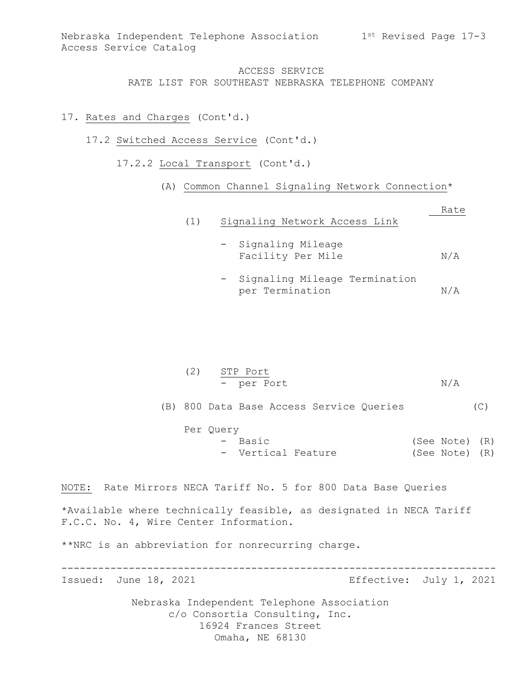#### 17. Rates and Charges (Cont'd.)

- 17.2 Switched Access Service (Cont'd.)
	- 17.2.2 Local Transport (Cont'd.)
		- (A) Common Channel Signaling Network Connection\*

| (1) | Signaling Network Access Link            | Rate |
|-----|------------------------------------------|------|
|     | - Signaling Mileage<br>Facility Per Mile | N/A  |

- Signaling Mileage Termination per Termination N/A

| (2) STP Port |     |
|--------------|-----|
| - per Port   | N/A |

(B) 800 Data Base Access Service Queries (C)

Per Query - Basic (See Note) (R) - Vertical Feature (See Note) (R)

NOTE: Rate Mirrors NECA Tariff No. 5 for 800 Data Base Queries

\*Available where technically feasible, as designated in NECA Tariff F.C.C. No. 4, Wire Center Information.

-----------------------------------------------------------------------

\*\*NRC is an abbreviation for nonrecurring charge.

Issued: June 18, 2021 **Effective: July 1, 2021**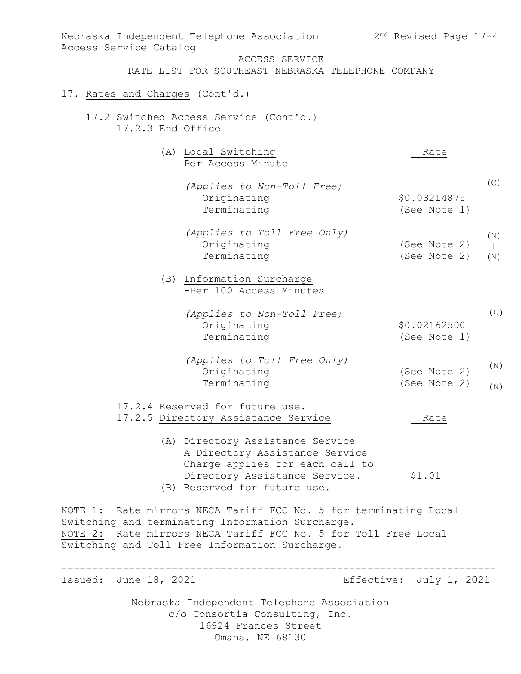| Nebraska Independent Telephone Association<br>Access Service Catalog                                                                                                                                                                     | $2nd$ Revised Page $17-4$    |            |
|------------------------------------------------------------------------------------------------------------------------------------------------------------------------------------------------------------------------------------------|------------------------------|------------|
| ACCESS SERVICE<br>RATE LIST FOR SOUTHEAST NEBRASKA TELEPHONE COMPANY                                                                                                                                                                     |                              |            |
| 17. Rates and Charges (Cont'd.)                                                                                                                                                                                                          |                              |            |
| 17.2 Switched Access Service (Cont'd.)<br>17.2.3 End Office                                                                                                                                                                              |                              |            |
| (A) Local Switching<br>Per Access Minute                                                                                                                                                                                                 | Rate                         |            |
| (Applies to Non-Toll Free)<br>Originating<br>Terminating                                                                                                                                                                                 | \$0.03214875<br>(See Note 1) | (C)        |
| (Applies to Toll Free Only)<br>Originating<br>Terminating                                                                                                                                                                                | (See Note 2)<br>(See Note 2) | (N)<br>(N) |
| (B) Information Surcharge<br>-Per 100 Access Minutes                                                                                                                                                                                     |                              |            |
| (Applies to Non-Toll Free)<br>Originating<br>Terminating                                                                                                                                                                                 | \$0.02162500<br>(See Note 1) | (C)        |
| (Applies to Toll Free Only)<br>Originating<br>Terminating                                                                                                                                                                                | (See Note 2)<br>(See Note 2) | (N)<br>(N) |
| 17.2.4 Reserved for future use.<br>17.2.5 Directory Assistance Service                                                                                                                                                                   | Rate                         |            |
| (A) Directory Assistance Service<br>A Directory Assistance Service<br>Charge applies for each call to<br>Directory Assistance Service.<br>(B) Reserved for future use.                                                                   | \$1.01                       |            |
| NOTE 1: Rate mirrors NECA Tariff FCC No. 5 for terminating Local<br>Switching and terminating Information Surcharge.<br>NOTE 2: Rate mirrors NECA Tariff FCC No. 5 for Toll Free Local<br>Switching and Toll Free Information Surcharge. |                              |            |
| Issued: June 18, 2021                                                                                                                                                                                                                    | Effective: July 1, 2021      |            |
| Nebraska Independent Telephone Association<br>c/o Consortia Consulting, Inc.<br>16924 Frances Street<br>Omaha, NE 68130                                                                                                                  |                              |            |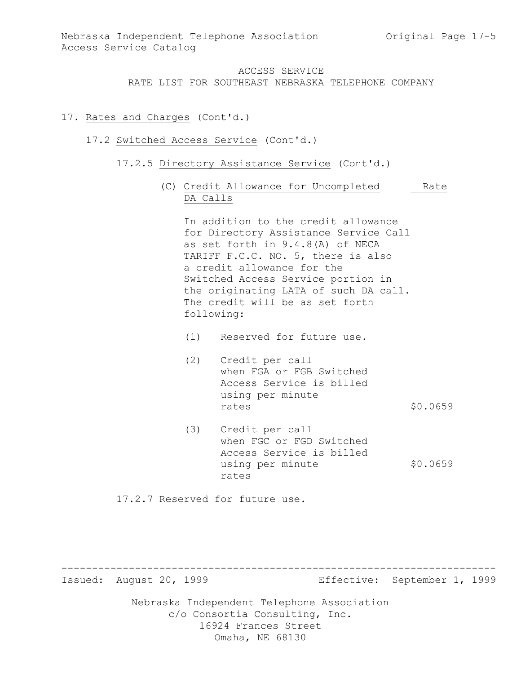## 17. Rates and Charges (Cont'd.)

#### 17.2 Switched Access Service (Cont'd.)

- 17.2.5 Directory Assistance Service (Cont'd.)
	- (C) Credit Allowance for Uncompleted Rate DA Calls

In addition to the credit allowance for Directory Assistance Service Call as set forth in 9.4.8(A) of NECA TARIFF F.C.C. NO. 5, there is also a credit allowance for the Switched Access Service portion in the originating LATA of such DA call. The credit will be as set forth following:

- (1) Reserved for future use.
- (2) Credit per call when FGA or FGB Switched Access Service is billed using per minute rates \$0.0659
- (3) Credit per call when FGC or FGD Switched Access Service is billed using per minute  $$0.0659$ rates

17.2.7 Reserved for future use.

Issued: August 20, 1999 Effective: September 1, 1999

Nebraska Independent Telephone Association c/o Consortia Consulting, Inc. 16924 Frances Street Omaha, NE 68130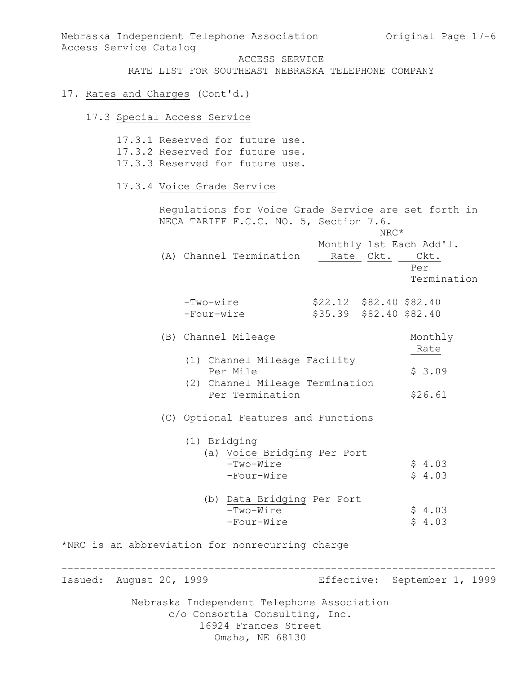Nebraska Independent Telephone Association and Original Page 17-6 Access Service Catalog ACCESS SERVICE RATE LIST FOR SOUTHEAST NEBRASKA TELEPHONE COMPANY 17. Rates and Charges (Cont'd.) 17.3 Special Access Service 17.3.1 Reserved for future use. 17.3.2 Reserved for future use. 17.3.3 Reserved for future use. 17.3.4 Voice Grade Service Regulations for Voice Grade Service are set forth in NECA TARIFF F.C.C. NO. 5, Section 7.6. NRC\* Monthly 1st Each Add'l. (A) Channel Termination Rate Ckt. Ckt. Per Termination -Two-wire \$22.12 \$82.40 \$82.40 -Four-wire \$35.39 \$82.40 \$82.40 (B) Channel Mileage Monthly Rate (1) Channel Mileage Facility Per Mile  $$3.09$  (2) Channel Mileage Termination Per Termination \$26.61 (C) Optional Features and Functions (1) Bridging (a) Voice Bridging Per Port  $-Two-Wire$  \$ 4.03  $-Four-Wire$   $$4.03$  (b) Data Bridging Per Port  $-Two-Wire$   $$4.03$  $-Four-Wire$   $$4.03$ \*NRC is an abbreviation for nonrecurring charge ----------------------------------------------------------------------- Issued: August 20, 1999 Effective: September 1, 1999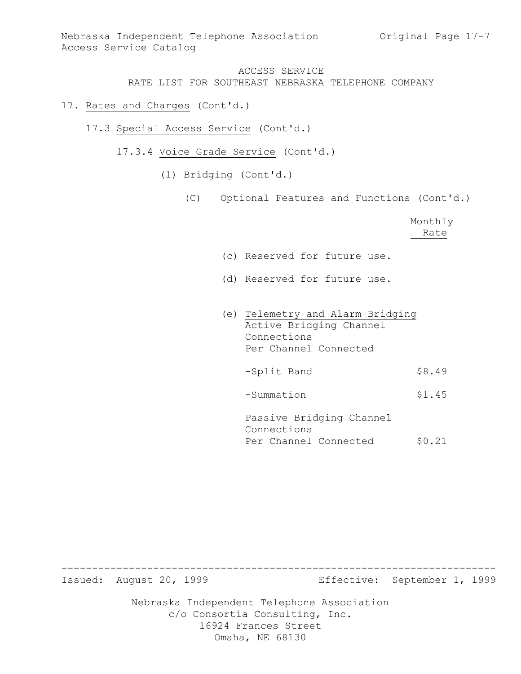- 17. Rates and Charges (Cont'd.)
	- 17.3 Special Access Service (Cont'd.)
		- 17.3.4 Voice Grade Service (Cont'd.)
			- (1) Bridging (Cont'd.)
				- (C) Optional Features and Functions (Cont'd.)

Monthly Rate

- (c) Reserved for future use.
- (d) Reserved for future use.
- (e) Telemetry and Alarm Bridging Active Bridging Channel Connections Per Channel Connected -Split Band \$8.49 -Summation \$1.45 Passive Bridging Channel Connections

Per Channel Connected \$0.21

Issued: August 20, 1999 Effective: September 1, 1999

Nebraska Independent Telephone Association c/o Consortia Consulting, Inc. 16924 Frances Street Omaha, NE 68130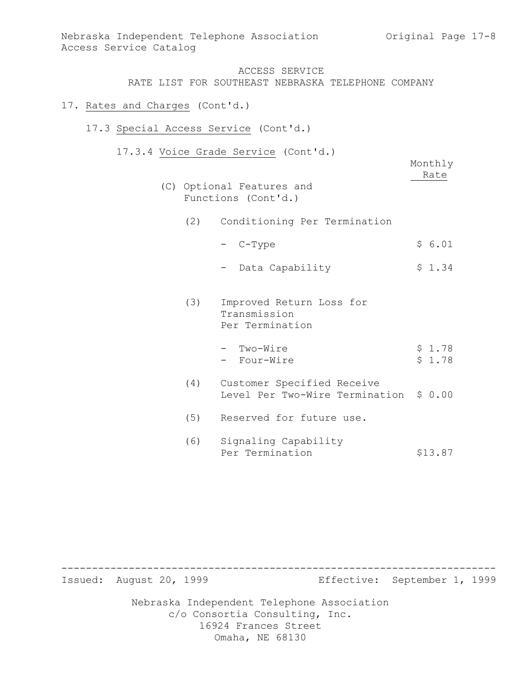### 17. Rates and Charges (Cont'd.)

## 17.3 Special Access Service (Cont'd.)

17.3.4 Voice Grade Service (Cont'd.)

| Monthly |
|---------|
| Rate    |
|         |

- (C) Optional Features and Functions (Cont'd.)
	- (2) Conditioning Per Termination
		- $-$  C-Type  $\frac{1}{2}$  6.01
		- Data Capability \$ 1.34
	- (3) Improved Return Loss for Transmission Per Termination
		- $-$  Two-Wire  $\frac{1}{2}$  1.78 - Four-Wire  $\frac{1}{2}$  \$ 1.78
	- (4) Customer Specified Receive Level Per Two-Wire Termination \$ 0.00
	- (5) Reserved for future use.
	- (6) Signaling Capability Per Termination \$13.87

Issued: August 20, 1999 Effective: September 1, 1999

Nebraska Independent Telephone Association c/o Consortia Consulting, Inc. 16924 Frances Street Omaha, NE 68130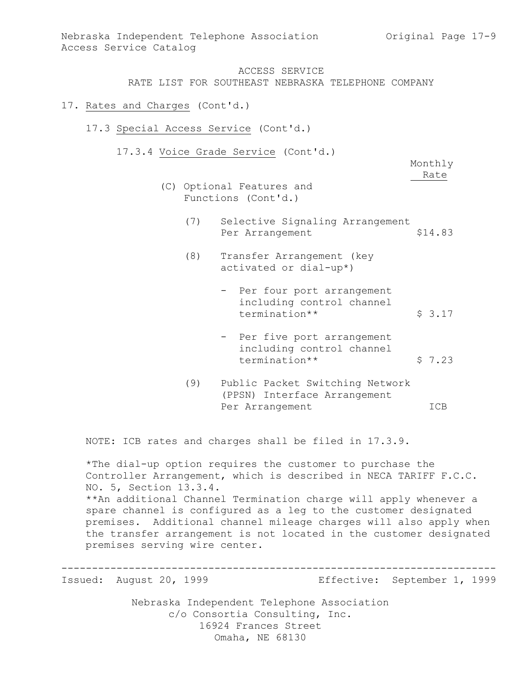- 17. Rates and Charges (Cont'd.)
	- 17.3 Special Access Service (Cont'd.)
		- 17.3.4 Voice Grade Service (Cont'd.)

Monthly Rate

- (C) Optional Features and Functions (Cont'd.)
	- (7) Selective Signaling Arrangement Per Arrangement \$14.83
	- (8) Transfer Arrangement (key activated or dial-up\*)
		- Per four port arrangement including control channel termination\*\* <br>\$ 3.17
		- Per five port arrangement including control channel termination\*\* <br>\$ 7.23
	- (9) Public Packet Switching Network (PPSN) Interface Arrangement Per Arrangement ICB

NOTE: ICB rates and charges shall be filed in 17.3.9.

\*The dial-up option requires the customer to purchase the Controller Arrangement, which is described in NECA TARIFF F.C.C. NO. 5, Section 13.3.4. \*\*An additional Channel Termination charge will apply whenever a spare channel is configured as a leg to the customer designated premises. Additional channel mileage charges will also apply when the transfer arrangement is not located in the customer designated premises serving wire center.

-----------------------------------------------------------------------

Issued: August 20, 1999 Effective: September 1, 1999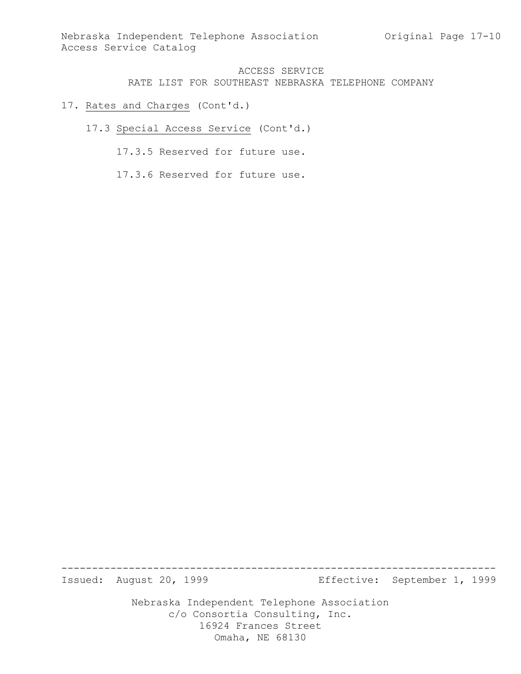- 17. Rates and Charges (Cont'd.)
	- 17.3 Special Access Service (Cont'd.)
		- 17.3.5 Reserved for future use.
		- 17.3.6 Reserved for future use.

Issued: August 20, 1999 Effective: September 1, 1999

Nebraska Independent Telephone Association c/o Consortia Consulting, Inc. 16924 Frances Street Omaha, NE 68130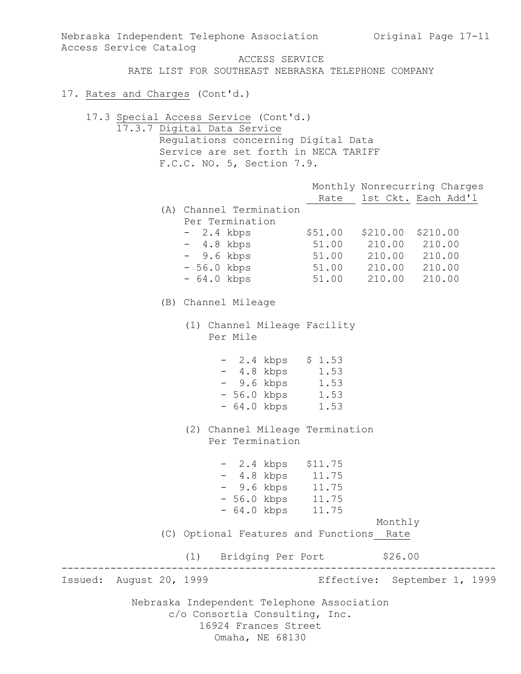Nebraska Independent Telephone Association c/o Consortia Consulting, Inc. 16924 Frances Street Nebraska Independent Telephone Association Original Page 17-11 Access Service Catalog ACCESS SERVICE RATE LIST FOR SOUTHEAST NEBRASKA TELEPHONE COMPANY 17. Rates and Charges (Cont'd.) 17.3 Special Access Service (Cont'd.) 17.3.7 Digital Data Service Regulations concerning Digital Data Service are set forth in NECA TARIFF F.C.C. NO. 5, Section 7.9. Monthly Nonrecurring Charges Rate 1st Ckt. Each Add'l (A) Channel Termination Per Termination - 2.4 kbps \$51.00 \$210.00 \$210.00 - 4.8 kbps 51.00 210.00 210.00 - 9.6 kbps 51.00 210.00 210.00 - 56.0 kbps 51.00 210.00 210.00 - 64.0 kbps 51.00 210.00 210.00 (B) Channel Mileage (1) Channel Mileage Facility Per Mile - 2.4 kbps \$ 1.53 - 4.8 kbps 1.53 - 9.6 kbps 1.53 - 56.0 kbps 1.53 - 64.0 kbps 1.53 (2) Channel Mileage Termination Per Termination - 2.4 kbps \$11.75 - 4.8 kbps 11.75 - 9.6 kbps 11.75 - 56.0 kbps 11.75 - 64.0 kbps 11.75 Monthly (C) Optional Features and Functions Rate (1) Bridging Per Port \$26.00 ----------------------------------------------------------------------- Issued: August 20, 1999 Effective: September 1, 1999

Omaha, NE 68130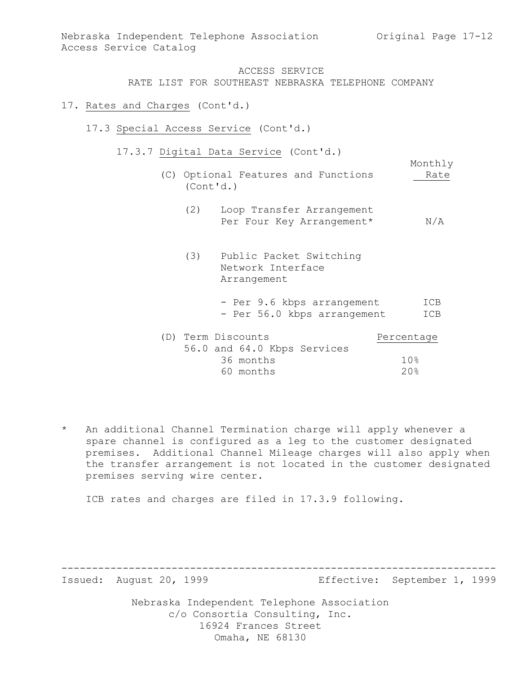Monthly

# ACCESS SERVICE RATE LIST FOR SOUTHEAST NEBRASKA TELEPHONE COMPANY

#### 17. Rates and Charges (Cont'd.)

- 17.3 Special Access Service (Cont'd.)
	- 17.3.7 Digital Data Service (Cont'd.)
		- (C) Optional Features and Functions Rate (Cont'd.)
			- (2) Loop Transfer Arrangement Per Four Key Arrangement\* N/A
			- (3) Public Packet Switching Network Interface Arrangement
				- Per 9.6 kbps arrangement ICB - Per 56.0 kbps arrangement ICB

|  | (D) Term Discounts |  |                             | Percentage |
|--|--------------------|--|-----------------------------|------------|
|  |                    |  | 56.0 and 64.0 Kbps Services |            |
|  | 36 months          |  |                             | 10응        |
|  | 60 months          |  |                             | 20%        |

\* An additional Channel Termination charge will apply whenever a spare channel is configured as a leg to the customer designated premises. Additional Channel Mileage charges will also apply when the transfer arrangement is not located in the customer designated premises serving wire center.

-----------------------------------------------------------------------

ICB rates and charges are filed in 17.3.9 following.

Issued: August 20, 1999 Effective: September 1, 1999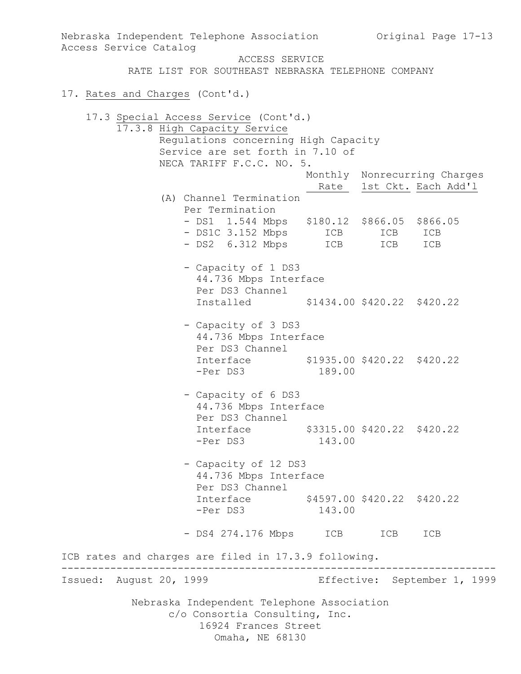Nebraska Independent Telephone Association c/o Consortia Consulting, Inc. 16924 Frances Street Omaha, NE 68130 Nebraska Independent Telephone Association (Original Page 17-13) Access Service Catalog ACCESS SERVICE RATE LIST FOR SOUTHEAST NEBRASKA TELEPHONE COMPANY 17. Rates and Charges (Cont'd.) 17.3 Special Access Service (Cont'd.) 17.3.8 High Capacity Service Regulations concerning High Capacity Service are set forth in 7.10 of NECA TARIFF F.C.C. NO. 5. Monthly Nonrecurring Charges Rate 1st Ckt. Each Add'1 (A) Channel Termination Per Termination - DS1 1.544 Mbps \$180.12 \$866.05 \$866.05 - DS1C 3.152 Mbps ICB ICB ICB - DS2 6.312 Mbps ICB ICB ICB - Capacity of 1 DS3 44.736 Mbps Interface Per DS3 Channel Installed \$1434.00 \$420.22 \$420.22 - Capacity of 3 DS3 44.736 Mbps Interface Per DS3 Channel Interface \$1935.00 \$420.22 \$420.22 -Per DS3 189.00 - Capacity of 6 DS3 44.736 Mbps Interface Per DS3 Channel Interface \$3315.00 \$420.22 \$420.22 -Per DS3 143.00 - Capacity of 12 DS3 44.736 Mbps Interface Per DS3 Channel Interface \$4597.00 \$420.22 \$420.22 -Per DS3 143.00 - DS4 274.176 Mbps ICB ICB ICB ICB rates and charges are filed in 17.3.9 following. ----------------------------------------------------------------------- Issued: August 20, 1999 Effective: September 1, 1999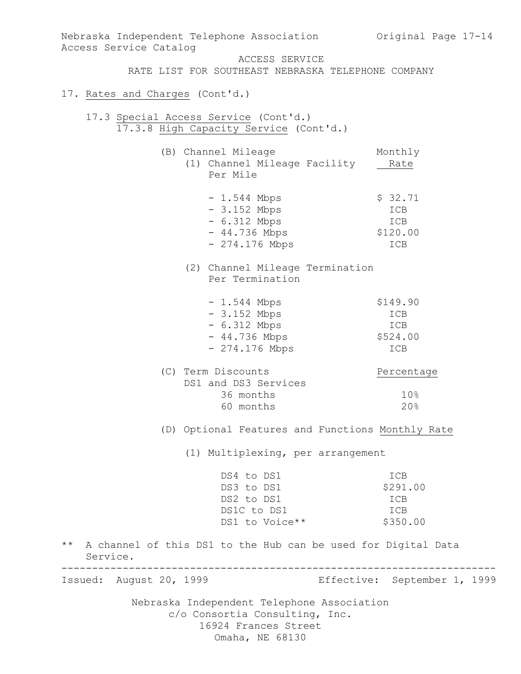Nebraska Independent Telephone Association c/o Consortia Consulting, Inc. 16924 Frances Street Omaha, NE 68130 Nebraska Independent Telephone Association (Original Page 17-14) Access Service Catalog ACCESS SERVICE RATE LIST FOR SOUTHEAST NEBRASKA TELEPHONE COMPANY 17. Rates and Charges (Cont'd.) 17.3 Special Access Service (Cont'd.) 17.3.8 High Capacity Service (Cont'd.) (B) Channel Mileage Monthly (1) Channel Mileage Facility Rate Per Mile  $- 1.544$  Mbps  $\frac{1}{2}$  \$ 32.71 - 3.152 Mbps ICB - 6.312 Mbps ICB - 44.736 Mbps \$120.00 - 274.176 Mbps ICB (2) Channel Mileage Termination Per Termination - 1.544 Mbps<br>
- 3.152 Mbps<br>
- 6.312 Mbns - 3.152 Mbps ICB - 6.312 Mbps ICB - 44.736 Mbps \$524.00 - 274.176 Mbps ICB (C) Term Discounts Percentage DS1 and DS3 Services 36 months 10% 60 months 20% (D) Optional Features and Functions Monthly Rate (1) Multiplexing, per arrangement DS4 to DS1 ICB<br>
DS3 to DS1 \$291.00<br>
DS2 to DS1 ICB<br>
DS1C to DS1 ICB DS3 to DS1 \$291.00 DS2 to DS1 ICB DS1C to DS1 ICB DS1 to Voice \*\* \$350.00 \*\* A channel of this DS1 to the Hub can be used for Digital Data Service. ----------------------------------------------------------------------- Issued: August 20, 1999 Effective: September 1, 1999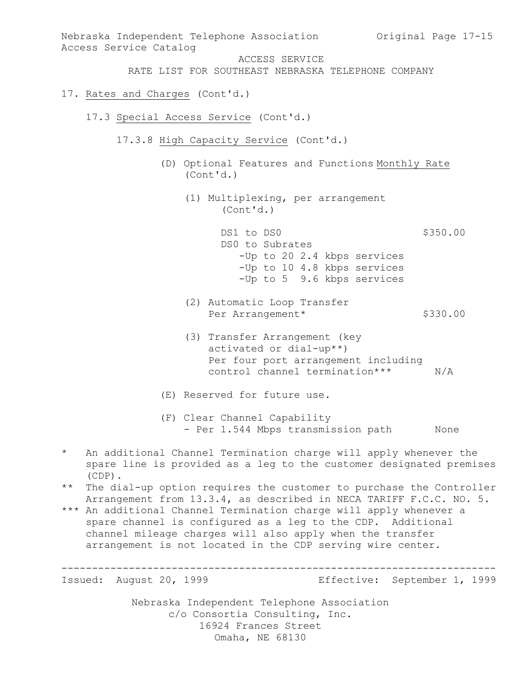Nebraska Independent Telephone Association Nebraska Independent Telephone Association Original Page 17-15 Access Service Catalog ACCESS SERVICE RATE LIST FOR SOUTHEAST NEBRASKA TELEPHONE COMPANY 17. Rates and Charges (Cont'd.) 17.3 Special Access Service (Cont'd.) 17.3.8 High Capacity Service (Cont'd.) (D) Optional Features and Functions Monthly Rate (Cont'd.) (1) Multiplexing, per arrangement (Cont'd.) DS1 to DS0 \$350.00 DS0 to Subrates -Up to 20 2.4 kbps services -Up to 10 4.8 kbps services -Up to 5 9.6 kbps services (2) Automatic Loop Transfer Per Arrangement\* \$330.00 (3) Transfer Arrangement (key activated or dial-up\*\*) Per four port arrangement including control channel termination\*\*\* N/A (E) Reserved for future use. (F) Clear Channel Capability - Per 1.544 Mbps transmission path Mone \* An additional Channel Termination charge will apply whenever the spare line is provided as a leg to the customer designated premises (CDP). \*\* The dial-up option requires the customer to purchase the Controller Arrangement from 13.3.4, as described in NECA TARIFF F.C.C. NO. 5. \*\*\* An additional Channel Termination charge will apply whenever a spare channel is configured as a leg to the CDP. Additional channel mileage charges will also apply when the transfer arrangement is not located in the CDP serving wire center. ----------------------------------------------------------------------- Issued: August 20, 1999 Effective: September 1, 1999

c/o Consortia Consulting, Inc. 16924 Frances Street Omaha, NE 68130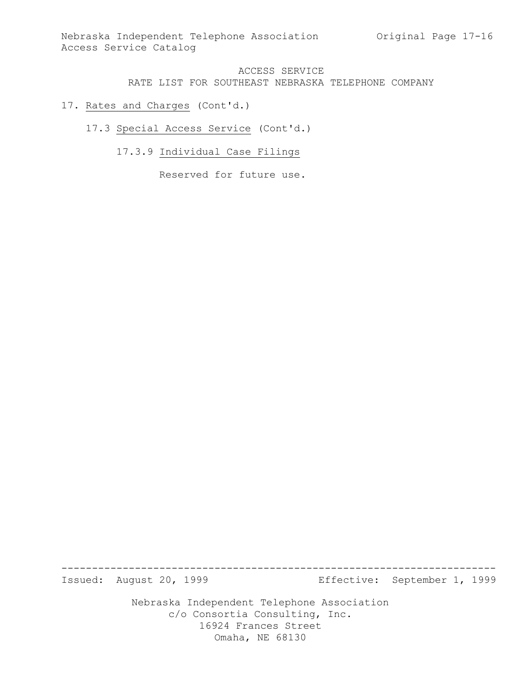- 17. Rates and Charges (Cont'd.)
	- 17.3 Special Access Service (Cont'd.)
		- 17.3.9 Individual Case Filings

Reserved for future use.

Issued: August 20, 1999 Effective: September 1, 1999

Nebraska Independent Telephone Association c/o Consortia Consulting, Inc. 16924 Frances Street Omaha, NE 68130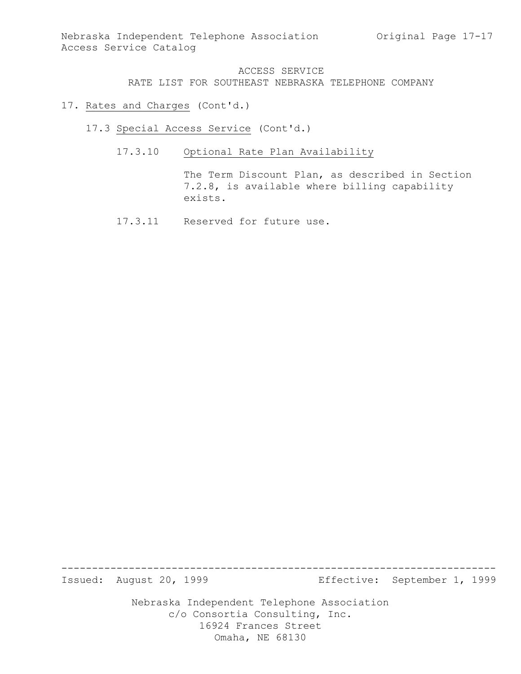- 17. Rates and Charges (Cont'd.)
	- 17.3 Special Access Service (Cont'd.)
		- 17.3.10 Optional Rate Plan Availability

The Term Discount Plan, as described in Section 7.2.8, is available where billing capability exists.

17.3.11 Reserved for future use.

Issued: August 20, 1999 Effective: September 1, 1999

Nebraska Independent Telephone Association c/o Consortia Consulting, Inc. 16924 Frances Street Omaha, NE 68130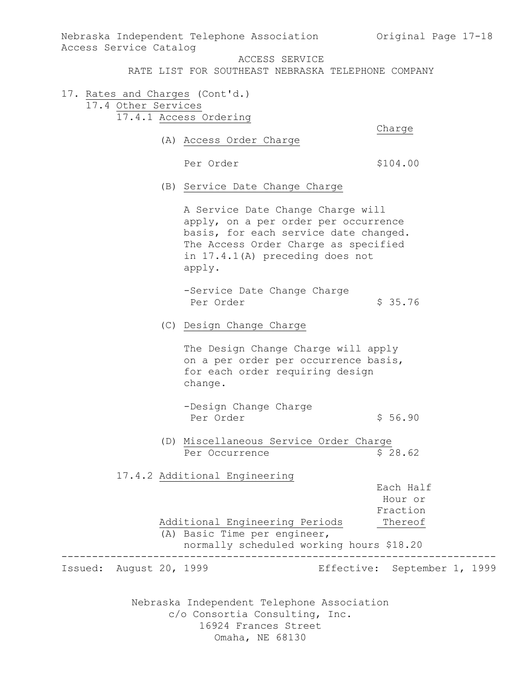Nebraska Independent Telephone Association Nebraska Independent Telephone Association Original Page 17-18 Access Service Catalog ACCESS SERVICE RATE LIST FOR SOUTHEAST NEBRASKA TELEPHONE COMPANY 17. Rates and Charges (Cont'd.) 17.4 Other Services 17.4.1 Access Ordering Charge (A) Access Order Charge Per Order  $$104.00$ (B) Service Date Change Charge A Service Date Change Charge will apply, on a per order per occurrence basis, for each service date changed. The Access Order Charge as specified in 17.4.1(A) preceding does not apply. -Service Date Change Charge Per Order \$ 35.76 (C) Design Change Charge The Design Change Charge will apply on a per order per occurrence basis, for each order requiring design change. -Design Change Charge Per Order  $\begin{array}{ccc} 5 & 56.90 \end{array}$ (D) Miscellaneous Service Order Charge Per Occurrence \$ 28.62 17.4.2 Additional Engineering Each Half Hour or Fraction Additional Engineering Periods Thereof (A) Basic Time per engineer, normally scheduled working hours \$18.20 ----------------------------------------------------------------------- Issued: August 20, 1999 Effective: September 1, 1999

c/o Consortia Consulting, Inc. 16924 Frances Street Omaha, NE 68130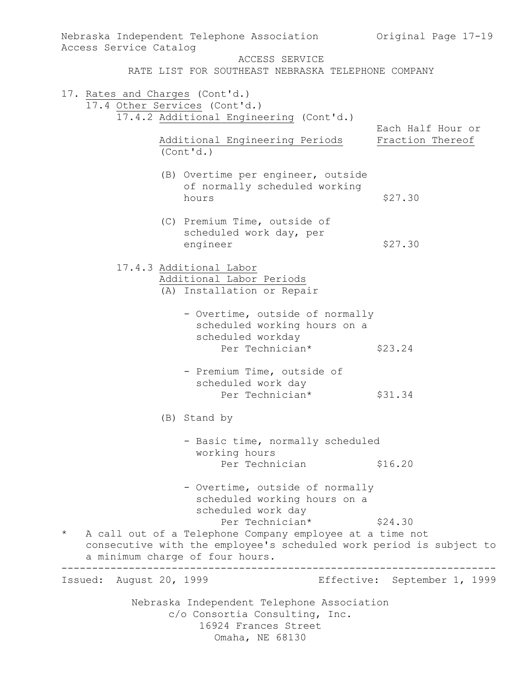| Access Service Catalog          | Nebraska Independent Telephone Association                          | Original Page 17-19                   |
|---------------------------------|---------------------------------------------------------------------|---------------------------------------|
|                                 | ACCESS SERVICE                                                      |                                       |
|                                 | RATE LIST FOR SOUTHEAST NEBRASKA TELEPHONE COMPANY                  |                                       |
| 17. Rates and Charges (Cont'd.) |                                                                     |                                       |
| 17.4 Other Services (Cont'd.)   |                                                                     |                                       |
|                                 | 17.4.2 Additional Engineering (Cont'd.)                             |                                       |
|                                 | Additional Engineering Periods                                      | Each Half Hour or<br>Fraction Thereof |
| (Cont'd.)                       |                                                                     |                                       |
|                                 | (B) Overtime per engineer, outside                                  |                                       |
|                                 | of normally scheduled working                                       |                                       |
|                                 | hours                                                               | \$27.30                               |
|                                 | (C) Premium Time, outside of                                        |                                       |
|                                 | scheduled work day, per                                             |                                       |
|                                 | engineer                                                            | \$27.30                               |
| 17.4.3 Additional Labor         |                                                                     |                                       |
|                                 | Additional Labor Periods                                            |                                       |
|                                 | (A) Installation or Repair                                          |                                       |
|                                 | - Overtime, outside of normally                                     |                                       |
|                                 | scheduled working hours on a                                        |                                       |
|                                 | scheduled workday                                                   |                                       |
|                                 | Per Technician*                                                     | \$23.24                               |
|                                 | - Premium Time, outside of                                          |                                       |
|                                 | scheduled work day<br>Per Technician*                               |                                       |
|                                 |                                                                     | \$31.34                               |
|                                 | (B) Stand by                                                        |                                       |
|                                 | - Basic time, normally scheduled                                    |                                       |
|                                 | working hours                                                       |                                       |
|                                 | Per Technician                                                      | \$16.20                               |
|                                 | - Overtime, outside of normally                                     |                                       |
|                                 | scheduled working hours on a                                        |                                       |
|                                 | scheduled work day<br>Per Technician*                               | \$24.30                               |
| $\star$                         | A call out of a Telephone Company employee at a time not            |                                       |
|                                 | consecutive with the employee's scheduled work period is subject to |                                       |
| a minimum charge of four hours. |                                                                     |                                       |
| Issued: August 20, 1999         |                                                                     | Effective: September 1, 1999          |
|                                 | Nebraska Independent Telephone Association                          |                                       |
|                                 | c/o Consortia Consulting, Inc.                                      |                                       |
|                                 | 16924 Frances Street                                                |                                       |
|                                 | Omaha, NE 68130                                                     |                                       |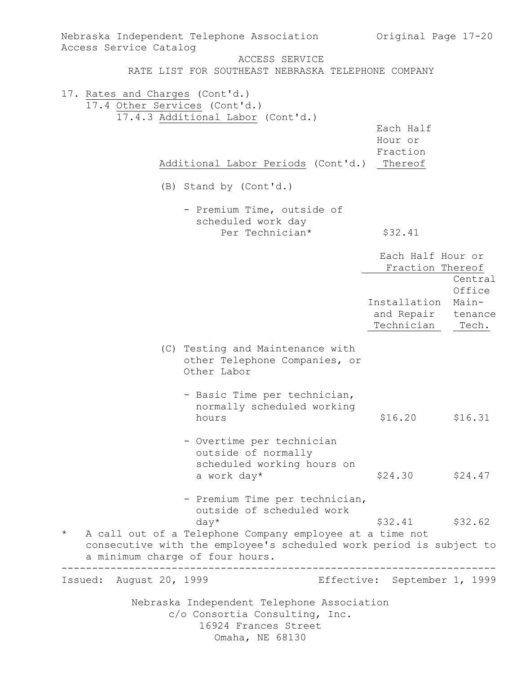| Nebraska Independent Telephone Association                                                                                                                                    | Original Page 17-20                   |                 |
|-------------------------------------------------------------------------------------------------------------------------------------------------------------------------------|---------------------------------------|-----------------|
| Access Service Catalog<br>ACCESS SERVICE                                                                                                                                      |                                       |                 |
| RATE LIST FOR SOUTHEAST NEBRASKA TELEPHONE COMPANY                                                                                                                            |                                       |                 |
| 17. Rates and Charges (Cont'd.)<br>17.4 Other Services (Cont'd.)                                                                                                              |                                       |                 |
| 17.4.3 Additional Labor (Cont'd.)                                                                                                                                             |                                       |                 |
|                                                                                                                                                                               | Each Half                             |                 |
|                                                                                                                                                                               | Hour or                               |                 |
| Additional Labor Periods (Cont'd.)                                                                                                                                            | Fraction<br>Thereof                   |                 |
|                                                                                                                                                                               |                                       |                 |
| (B) Stand by (Cont'd.)                                                                                                                                                        |                                       |                 |
| - Premium Time, outside of                                                                                                                                                    |                                       |                 |
| scheduled work day                                                                                                                                                            |                                       |                 |
| Per Technician*                                                                                                                                                               | \$32.41                               |                 |
|                                                                                                                                                                               | Each Half Hour or<br>Fraction Thereof |                 |
|                                                                                                                                                                               |                                       | Central         |
|                                                                                                                                                                               | Installation                          | Office<br>Main- |
|                                                                                                                                                                               | and Repair                            | tenance         |
|                                                                                                                                                                               | Technician                            | Tech.           |
| (C) Testing and Maintenance with<br>other Telephone Companies, or<br>Other Labor                                                                                              |                                       |                 |
| - Basic Time per technician,<br>normally scheduled working<br>hours                                                                                                           | \$16.20                               | \$16.31         |
| - Overtime per technician<br>outside of normally<br>scheduled working hours on<br>a work day*                                                                                 | \$24.30                               | \$24.47         |
|                                                                                                                                                                               |                                       |                 |
| - Premium Time per technician,<br>outside of scheduled work                                                                                                                   |                                       |                 |
| $day*$                                                                                                                                                                        | \$32.41                               | \$32.62         |
| $\star$<br>A call out of a Telephone Company employee at a time not<br>consecutive with the employee's scheduled work period is subject to<br>a minimum charge of four hours. |                                       |                 |
| Issued: August 20, 1999                                                                                                                                                       | Effective: September 1, 1999          |                 |
| Nebraska Independent Telephone Association<br>c/o Consortia Consulting, Inc.<br>16924 Frances Street<br>Omaha, NE 68130                                                       |                                       |                 |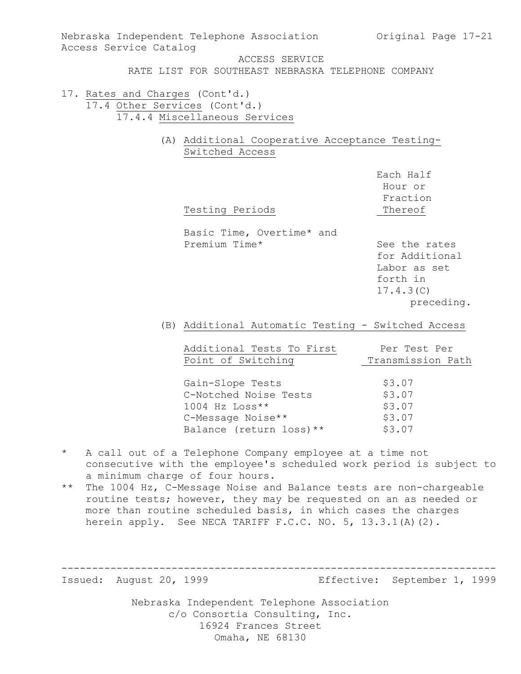- RATE LIST FOR SOUTHEAST NEBRASKA TELEPHONE COMPANY
- 17. Rates and Charges (Cont'd.) 17.4 Other Services (Cont'd.) 17.4.4 Miscellaneous Services
	- (A) Additional Cooperative Acceptance Testing-Switched Access

| Testing Periods                            | Hour or<br>Fraction<br>Thereof                                                         |
|--------------------------------------------|----------------------------------------------------------------------------------------|
| Basic Time, Overtime* and<br>Premium Time* | See the rates<br>for Additional<br>Labor as set<br>forth in<br>17.4.3(C)<br>preceding. |

Each Half

(B) Additional Automatic Testing - Switched Access

| Additional Tests To First | Per Test Per      |
|---------------------------|-------------------|
| Point of Switching        | Transmission Path |
|                           |                   |
| Gain-Slope Tests          | \$3.07            |
| C-Notched Noise Tests     | \$3.07            |
| $1004$ Hz Loss**          | \$3.07            |
| C-Message Noise**         | \$3.07            |
| Balance (return loss) **  | \$3.07            |

- \* A call out of a Telephone Company employee at a time not consecutive with the employee's scheduled work period is subject to a minimum charge of four hours.
- \*\* The 1004 Hz, C-Message Noise and Balance tests are non-chargeable routine tests; however, they may be requested on an as needed or more than routine scheduled basis, in which cases the charges herein apply. See NECA TARIFF F.C.C. NO. 5, 13.3.1(A)(2).

-----------------------------------------------------------------------

Issued: August 20, 1999 Effective: September 1, 1999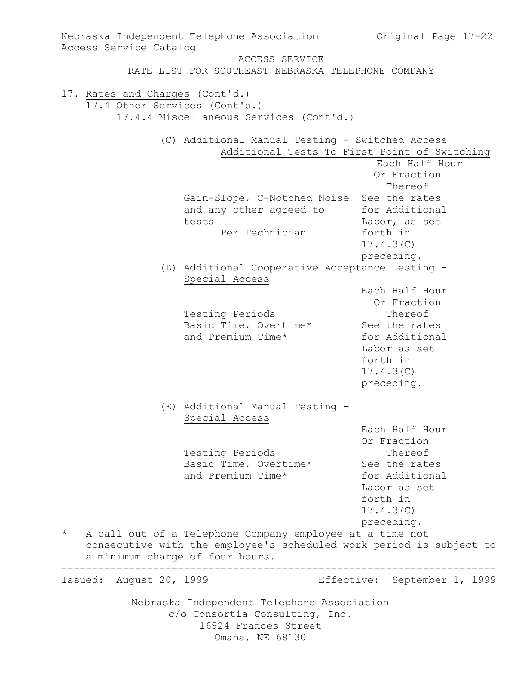Nebraska Independent Telephone Association c/o Consortia Consulting, Inc. 16924 Frances Street Omaha, NE 68130 Nebraska Independent Telephone Association (Original Page 17-22) Access Service Catalog ACCESS SERVICE RATE LIST FOR SOUTHEAST NEBRASKA TELEPHONE COMPANY 17. Rates and Charges (Cont'd.) 17.4 Other Services (Cont'd.) 17.4.4 Miscellaneous Services (Cont'd.) (C) Additional Manual Testing - Switched Access Additional Tests To First Point of Switching Each Half Hour Or Fraction Thereof Gain-Slope, C-Notched Noise See the rates and any other agreed to for Additional tests Labor, as set Per Technician forth in 17.4.3(C) preceding. (D) Additional Cooperative Acceptance Testing - Special Access Each Half Hour Or Fraction<br>Thereof Testing Periods Thereof Basic Time, Overtime\* See the rates and Premium Time\* for Additional Labor as set forth in 17.4.3(C) preceding. (E) Additional Manual Testing - Special Access Each Half Hour Or Fraction Testing Periods Thereof Basic Time, Overtime\* See the rates and Premium Time\* for Additional Labor as set forth in 17.4.3(C) preceding. \* A call out of a Telephone Company employee at a time not consecutive with the employee's scheduled work period is subject to a minimum charge of four hours. ----------------------------------------------------------------------- Issued: August 20, 1999 Effective: September 1, 1999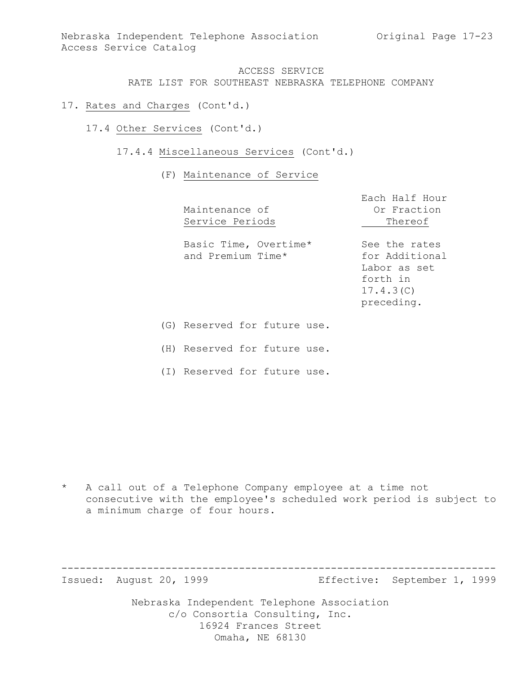- 17. Rates and Charges (Cont'd.)
	- 17.4 Other Services (Cont'd.)
		- 17.4.4 Miscellaneous Services (Cont'd.)

#### (F) Maintenance of Service

| Maintenance of<br>Service Periods          | Each Half Hour<br>Or Fraction<br>Thereof                                               |
|--------------------------------------------|----------------------------------------------------------------------------------------|
| Basic Time, Overtime*<br>and Premium Time* | See the rates<br>for Additional<br>Labor as set<br>forth in<br>17.4.3(C)<br>preceding. |
| (G) Reserved for future use.               |                                                                                        |

(H) Reserved for future use.

(I) Reserved for future use.

\* A call out of a Telephone Company employee at a time not consecutive with the employee's scheduled work period is subject to a minimum charge of four hours.

-----------------------------------------------------------------------

Issued: August 20, 1999 Effective: September 1, 1999